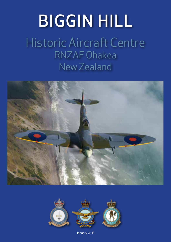# BIGGIN HILL

Historic Aircraft Centre RNZAF Ohakea New Zealand





January 2016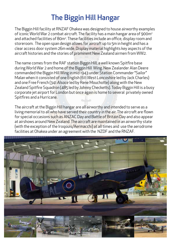# The Biggin Hill Hangar

The Biggin Hill facility at RNZAF Ohakea was designed to house airworthy examples of iconic World War 2 combat aircraft. The facility has a main hangar area of 900m2 and attached facilities of 80m². These facilities include an office, display room and storeroom. The open span design allows for aircraft up to 5m in height and has a clear access door system 26m wide. Display material highlights key aspects of the aircraft histories and the stories of prominent New Zealand airmen from WW2.

The name comes from the RAF station Biggin Hill, a well known Spitfire base during World War 2 and home of the Biggin Hill Wing. New Zealander Alan Deere commanded the Biggin Hill Wing in mid 1943 under Station Commander "Sailor" Malan when it consisted of one English (611 *West Lancashire* led by Jack Charles) and one Free French (341 *Alsace* led by Rene Mouchotte) along with the New Zealand Spitfire Squadron (485 led by Johnny Checketts). Today Biggin Hill is a busy corporate jet airport for London but once again is home to several privately owned Spitfires and a Hurricane.

The aircraft at the Biggin Hill hangar are all airworthy and intended to serve as a living memorial to all who have served their country in the air. The aircraft are flown for special occasions such as ANZAC Day and Battle of Britain Day and also appear at airshows around New Zealand. The aircraft are maintained in an airworthy state (with the exception of the Iroqouis/Aermacchi) at all times and use the aerodrome facilities at Ohakea under an agreement with the NZDF and the RNZAF.

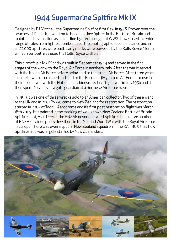## 1944 Supermarine Spitfire Mk IX

Designed by RJ Mitchell, the Supermarine Spitfire first flew in 1936. Proven over the beaches of Dunkirk, it went on to become a key fighter in the Battle of Britain and maintained its position as a frontline fighter throughout WW2. It was used in a wide range of roles from fighter, bomber escort to photographic reconnaissance and in all 22,000 Spitfires were built. Early marks were powered by the Rolls Royce Merlin whilst later Spitfires used the Rolls Royce Griffon.

This aircraft is a Mk IX and was built in September 1944 and served in the final stages of the war with the Royal Air Force in northern Italy. After the war it served with the Italian Air Force before being sold to the Israeli Air Force. After three years in Israel it was refurbished and sold to the Burmese (Myanmar) Air Force for use in their border war with the Nationalist Chinese. Its final flight was in July 1956 and it then spent 26 years as a gate guardian at a Burmese Air Force Base.

In 1999 it was one of three wrecks sold to an American collector. Two of these went to the UK and in 2001 PV270 came to New Zealand for restoration. The restoration started in 2003 at Taonui Aerodrome and its first post restoration flight was March 18th 2009. It is painted in the marking of well-known New Zealand Battle of Britain Spitfire pilot, Alan Deere. The RNZAF never operated Spitfires but a large number of RNZAF trained pilots flew them in the Second World War with the Royal Air Force in Europe. There was even a special New Zealand squadron in the RAF, 485, that flew Spitfires and was largely staffed by New Zealanders.

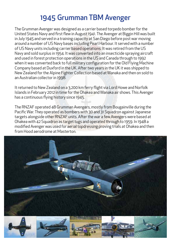## 1945 Grumman TBM Avenger

The Grumman Avenger was designed as a carrier based torpedo bomber for the United States Navy and first flew in August 1941. The Avenger at Biggin Hill was built in July 1945 and served in a training capacity at San Diego before post war moving around a number of US Navy bases including Pearl Harbour. It served with a number of US Navy units including carrier based operations. It was retired from the US Navy and sold surplus in 1954. It was converted into an insecticide spraying aircraft and used in forest protection operations in the US and Canada through to 1992 when it was converted back to full military configuration for the Old Flying Machine Company based at Duxford in the UK. After two years in the UK it was shipped to New Zealand for the Alpine Fighter Collection based at Wanaka and then on sold to an Australian collector in 1998.

It returned to New Zealand on a 3,200 km ferry flight via Lord Howe and Norfolk Islands in February 2012 in time for the Ohakea and Wanaka air shows. This Avenger has a continuous flying history since 1945.

The RNZAF operated 48 Grumman Avengers, mostly from Bougainville during the Pacific War. They operated as bombers with 30 and 31 Squadron against Japanese targets alongside other RNZAF units. After the war a few Avengers were based at Ohakea with 42 Squadron as target tugs and operated through to 1959. In 1948 a modified Avenger was used for aerial topdressing proving trials at Ohakea and then from Hood aerodrome at Masterton.

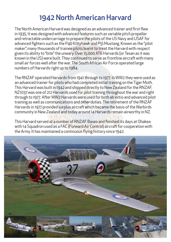## 1942 North American Harvard

The North American Harvard was designed as an advanced trainer and first flew in 1935. It was designed with advanced features such as variable pitch propeller and retractable undercarriage to prepare the pilots of the US Navy and USAF for advanced fighters such as the P40 Kittyhawk and P51 Mustang. Known as the "pilot maker", many thousands of trainee pilots learnt to treat the Harvard with respect given its ability to "bite" the unwary. Over 15,000 AT6 Harvards (or Texan as it was known in the US) were built. They continued to serve as frontline aircraft with many small air forces well after the war. The South African Air Force operated large numbers of Harvards right up to 1984.

The RNZAF operated Harvards from 1941 through to 1977. In WW2 they were used as an advanced trainer for pilots who had completed initial training on the Tiger Moth. This Harvard was built in 1942 and shipped directly to New Zealand for the RNZAF, NZ1037 was one of 212 Harvards used for pilot training throughout the war and right through to 1977. After WW2 Harvards were used for both ab initio and advanced pilot training as well as communications and other duties. The retirement of the RNZAF Harvards in 1977 provided surplus aircraft which became the basis of the Warbirds community in New Zealand and today around 14 Harvards remain airworthy in NZ.

This Harvard served at a number of RNZAF Bases and finished its days at Ohakea with 14 Squadron used as a FAC (Forward Air Control) aircraft for cooperation with the Army. It has maintained a continuous flying history since 1942.

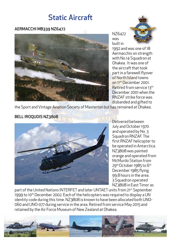## Static Aircraft

#### AERMACCHI MB339 NZ6472



NZ6472 was built in

1992 and was one of 18 Aermacchis on strength with No.14 Squadron at Ohakea. It was one of the aircraft that took part in a farewell flyover of North Island towns on 11th December 2001. Retired from service 13th December 2001 when the RNZAF strike force was disbanded and gifted to

the Sport and Vintage Aviation Society of Masterton but has remained at Ohakea.

#### BELL IROQUOIS NZ3808



Delivered between July and October 1970 and operated by No. 3 Squadron RNZAF. The first RNZAF helicopter to be operated in Antarctica. NZ3808 was painted orange and operated from McMurdo Station from 29<sup>th</sup> October 1985 to 6<sup>th</sup> December 1985 flying 99.8 hours in the area. 3 Squadron operated NZ3808 in East Timor as

part of the United Nations INTERFET and later UNTAET units from 21st September 1999 to 10<sup>th</sup> December 2002. Each of the helicopters was required to display a UN identity code during this time. NZ3808 is known to have been allocated both UNO-060 and UNO-077 during service in the area. Retired from service May 2015 and retained by the Air Force Museum of New Zealand at Ohakea.

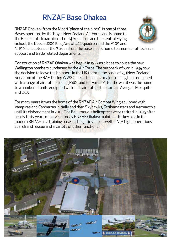# RNZAF Base Ohakea

RNZAF Ohakea (from the Maori "place of the birds") is one of three Bases operated by the Royal New Zealand Air Force and is home to the Beechcraft Texan aircraft of 14 Squadron and the Central Flying School, the Beech B200 King Airs of 42 Squadron and the A109 and



NH90 helicopters of the 3 Squadron. The base also is home to a number of technical support and trade related departments.

Construction of RNZAF Ohakea was begun in 1937 as a base to house the new Wellington bombers purchased by the Air Force. The outbreak of war in 1939 saw the decision to leave the bombers in the UK to form the basis of 75 (New Zealand) Squadron of the RAF. During WW2 Ohakea became a major training base equipped with a range of aircraft including P40s and Harvards. After the war it was the home to a number of units equipped with such aircraft as the Corsair, Avenger, Mosquito and DC3.

For many years it was the home of the RNZAF Air Combat Wing equipped with Vampires and Canberras initially and then Skyhawks, Strikemasters and Aermacchis until its disbandment in 2001. The Bell Iroquois helicopters were retired in 2015 after nearly fifity years of service. Today RNZAF Ohakea maintains its key role in the modern RNZAF as a training base and logistics hub as well as VIP flight operations, search and rescue and a variety of other functions.